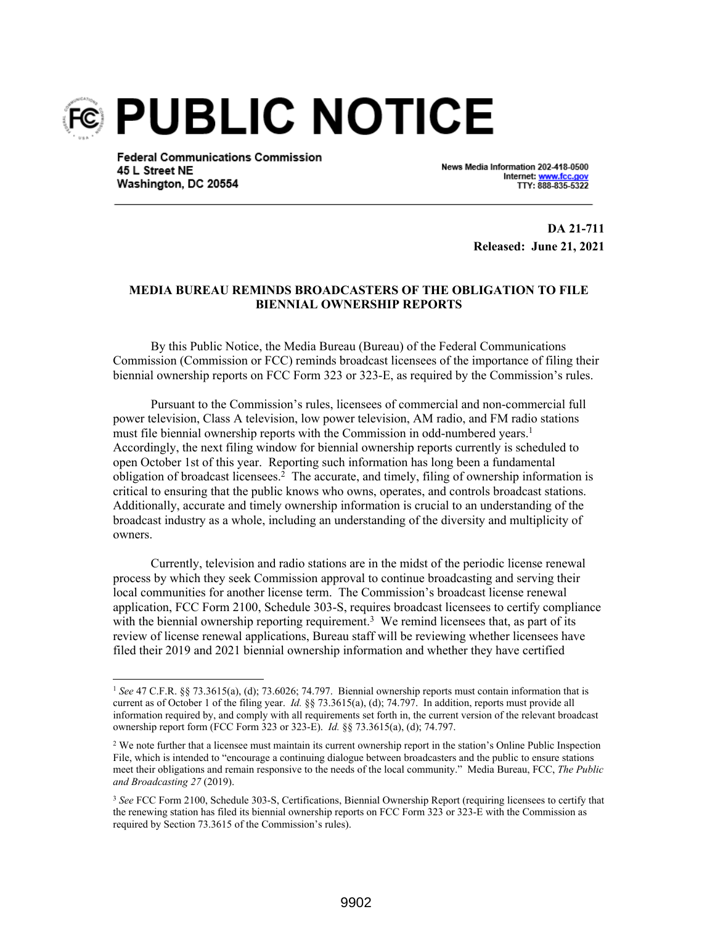

**Federal Communications Commission** 45 L Street NE Washington, DC 20554

News Media Information 202-418-0500 Internet: www.fcc.go TTY: 888-835-5322

> **DA 21-711 Released: June 21, 2021**

## **MEDIA BUREAU REMINDS BROADCASTERS OF THE OBLIGATION TO FILE BIENNIAL OWNERSHIP REPORTS**

By this Public Notice, the Media Bureau (Bureau) of the Federal Communications Commission (Commission or FCC) reminds broadcast licensees of the importance of filing their biennial ownership reports on FCC Form 323 or 323-E, as required by the Commission's rules.

Pursuant to the Commission's rules, licensees of commercial and non-commercial full power television, Class A television, low power television, AM radio, and FM radio stations must file biennial ownership reports with the Commission in odd-numbered years.<sup>1</sup> Accordingly, the next filing window for biennial ownership reports currently is scheduled to open October 1st of this year. Reporting such information has long been a fundamental obligation of broadcast licensees.<sup>2</sup> The accurate, and timely, filing of ownership information is critical to ensuring that the public knows who owns, operates, and controls broadcast stations. Additionally, accurate and timely ownership information is crucial to an understanding of the broadcast industry as a whole, including an understanding of the diversity and multiplicity of owners.

Currently, television and radio stations are in the midst of the periodic license renewal process by which they seek Commission approval to continue broadcasting and serving their local communities for another license term. The Commission's broadcast license renewal application, FCC Form 2100, Schedule 303-S, requires broadcast licensees to certify compliance with the biennial ownership reporting requirement.<sup>3</sup> We remind licensees that, as part of its review of license renewal applications, Bureau staff will be reviewing whether licensees have filed their 2019 and 2021 biennial ownership information and whether they have certified

<sup>1</sup> *See* 47 C.F.R. §§ 73.3615(a), (d); 73.6026; 74.797. Biennial ownership reports must contain information that is current as of October 1 of the filing year. *Id.* §§ 73.3615(a), (d); 74.797. In addition, reports must provide all information required by, and comply with all requirements set forth in, the current version of the relevant broadcast ownership report form (FCC Form 323 or 323-E). *Id.* §§ 73.3615(a), (d); 74.797.

<sup>&</sup>lt;sup>2</sup> We note further that a licensee must maintain its current ownership report in the station's Online Public Inspection File, which is intended to "encourage a continuing dialogue between broadcasters and the public to ensure stations meet their obligations and remain responsive to the needs of the local community." Media Bureau, FCC, *The Public and Broadcasting 27* (2019).

<sup>3</sup> *See* FCC Form 2100, Schedule 303-S, Certifications, Biennial Ownership Report (requiring licensees to certify that the renewing station has filed its biennial ownership reports on FCC Form 323 or 323-E with the Commission as required by Section 73.3615 of the Commission's rules).